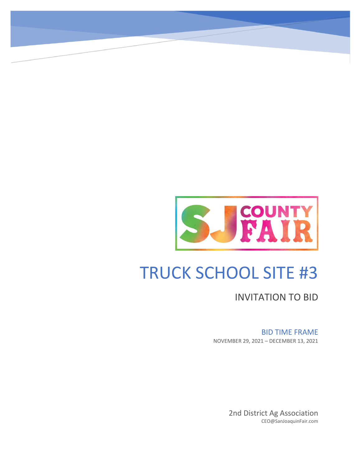

# TRUCK SCHOOL SITE #3

INVITATION TO BID

## BID TIME FRAME

NOVEMBER 29, 2021 – DECEMBER 13, 2021

2nd District Ag Association CEO@SanJoaquinFair.com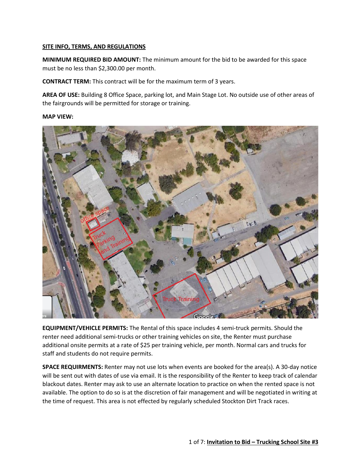#### **SITE INFO, TERMS, AND REGULATIONS**

**MINIMUM REQUIRED BID AMOUNT:** The minimum amount for the bid to be awarded for this space must be no less than \$2,300.00 per month.

**CONTRACT TERM:** This contract will be for the maximum term of 3 years.

**AREA OF USE:** Building 8 Office Space, parking lot, and Main Stage Lot. No outside use of other areas of the fairgrounds will be permitted for storage or training.

#### **MAP VIEW:**



**EQUIPMENT/VEHICLE PERMITS:** The Rental of this space includes 4 semi-truck permits. Should the renter need additional semi-trucks or other training vehicles on site, the Renter must purchase additional onsite permits at a rate of \$25 per training vehicle, per month. Normal cars and trucks for staff and students do not require permits.

**SPACE REQUIRMENTS:** Renter may not use lots when events are booked for the area(s). A 30-day notice will be sent out with dates of use via email. It is the responsibility of the Renter to keep track of calendar blackout dates. Renter may ask to use an alternate location to practice on when the rented space is not available. The option to do so is at the discretion of fair management and will be negotiated in writing at the time of request. This area is not effected by regularly scheduled Stockton Dirt Track races.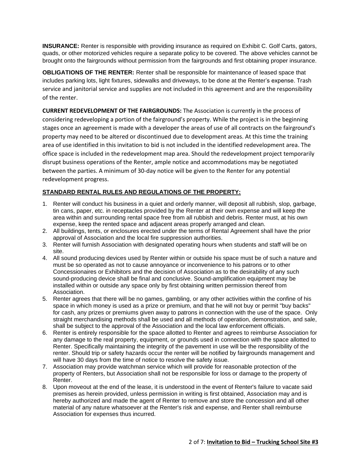**INSURANCE:** Renter is responsible with providing insurance as required on Exhibit C. Golf Carts, gators, quads, or other motorized vehicles require a separate policy to be covered. The above vehicles cannot be brought onto the fairgrounds without permission from the fairgrounds and first obtaining proper insurance.

**OBLIGATIONS OF THE RENTER:** Renter shall be responsible for maintenance of leased space that includes parking lots, light fixtures, sidewalks and driveways, to be done at the Renter's expense. Trash service and janitorial service and supplies are not included in this agreement and are the responsibility of the renter.

**CURRENT REDEVELOPMENT OF THE FAIRGROUNDS:** The Association is currently in the process of considering redeveloping a portion of the fairground's property. While the project is in the beginning stages once an agreement is made with a developer the areas of use of all contracts on the fairground's property may need to be altered or discontinued due to development areas. At this time the training area of use identified in this invitation to bid is not included in the identified redevelopment area. The office space is included in the redevelopment map area. Should the redevelopment project temporarily disrupt business operations of the Renter, ample notice and accommodations may be negotiated between the parties. A minimum of 30-day notice will be given to the Renter for any potential redevelopment progress.

#### **STANDARD RENTAL RULES AND REGULATIONS OF THE PROPERTY:**

- 1. Renter will conduct his business in a quiet and orderly manner, will deposit all rubbish, slop, garbage, tin cans, paper, etc. in receptacles provided by the Renter at their own expense and will keep the area within and surrounding rental space free from all rubbish and debris. Renter must, at his own expense, keep the rented space and adjacent areas properly arranged and clean.
- 2. All buildings, tents, or enclosures erected under the terms of Rental Agreement shall have the prior approval of Association and the local fire suppression authorities.
- 3. Renter will furnish Association with designated operating hours when students and staff will be on site.
- 4. All sound producing devices used by Renter within or outside his space must be of such a nature and must be so operated as not to cause annoyance or inconvenience to his patrons or to other Concessionaires or Exhibitors and the decision of Association as to the desirability of any such sound-producing device shall be final and conclusive. Sound-amplification equipment may be installed within or outside any space only by first obtaining written permission thereof from Association.
- 5. Renter agrees that there will be no games, gambling, or any other activities within the confine of his space in which money is used as a prize or premium, and that he will not buy or permit "buy backs" for cash, any prizes or premiums given away to patrons in connection with the use of the space. Only straight merchandising methods shall be used and all methods of operation, demonstration, and sale, shall be subject to the approval of the Association and the local law enforcement officials.
- 6. Renter is entirely responsible for the space allotted to Renter and agrees to reimburse Association for any damage to the real property, equipment, or grounds used in connection with the space allotted to Renter. Specifically maintaining the integrity of the pavement in use will be the responsibility of the renter. Should trip or safety hazards occur the renter will be notified by fairgrounds management and will have 30 days from the time of notice to resolve the safety issue.
- 7. Association may provide watchman service which will provide for reasonable protection of the property of Renters, but Association shall not be responsible for loss or damage to the property of Renter.
- 8. Upon moveout at the end of the lease, it is understood in the event of Renter's failure to vacate said premises as herein provided, unless permission in writing is first obtained, Association may and is hereby authorized and made the agent of Renter to remove and store the concession and all other material of any nature whatsoever at the Renter's risk and expense, and Renter shall reimburse Association for expenses thus incurred.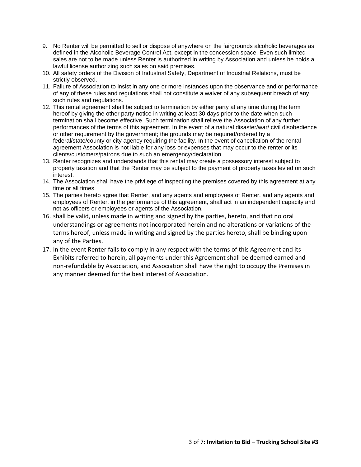- 9. No Renter will be permitted to sell or dispose of anywhere on the fairgrounds alcoholic beverages as defined in the Alcoholic Beverage Control Act, except in the concession space. Even such limited sales are not to be made unless Renter is authorized in writing by Association and unless he holds a lawful license authorizing such sales on said premises.
- 10. All safety orders of the Division of Industrial Safety, Department of Industrial Relations, must be strictly observed.
- 11. Failure of Association to insist in any one or more instances upon the observance and or performance of any of these rules and regulations shall not constitute a waiver of any subsequent breach of any such rules and regulations.
- 12. This rental agreement shall be subject to termination by either party at any time during the term hereof by giving the other party notice in writing at least 30 days prior to the date when such termination shall become effective. Such termination shall relieve the Association of any further performances of the terms of this agreement. In the event of a natural disaster/war/ civil disobedience or other requirement by the government; the grounds may be required/ordered by a federal/state/county or city agency requiring the facility. In the event of cancellation of the rental agreement Association is not liable for any loss or expenses that may occur to the renter or its clients/customers/patrons due to such an emergency/declaration.
- 13. Renter recognizes and understands that this rental may create a possessory interest subject to property taxation and that the Renter may be subject to the payment of property taxes levied on such interest.
- 14. The Association shall have the privilege of inspecting the premises covered by this agreement at any time or all times.
- 15. The parties hereto agree that Renter, and any agents and employees of Renter, and any agents and employees of Renter, in the performance of this agreement, shall act in an independent capacity and not as officers or employees or agents of the Association.
- 16. shall be valid, unless made in writing and signed by the parties, hereto, and that no oral understandings or agreements not incorporated herein and no alterations or variations of the terms hereof, unless made in writing and signed by the parties hereto, shall be binding upon any of the Parties.
- 17. In the event Renter fails to comply in any respect with the terms of this Agreement and its Exhibits referred to herein, all payments under this Agreement shall be deemed earned and non-refundable by Association, and Association shall have the right to occupy the Premises in any manner deemed for the best interest of Association.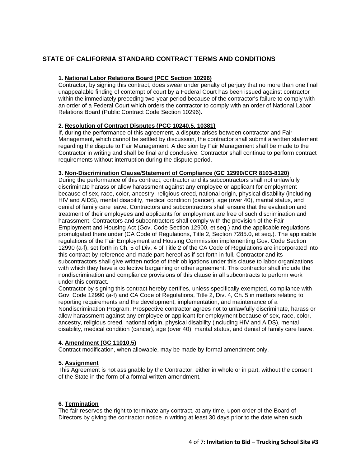## **STATE OF CALIFORNIA STANDARD CONTRACT TERMS AND CONDITIONS**

#### **1. National Labor Relations Board (PCC Section 10296)**

Contractor, by signing this contract, does swear under penalty of perjury that no more than one final unappealable finding of contempt of court by a Federal Court has been issued against contractor within the immediately preceding two-year period because of the contractor's failure to comply with an order of a Federal Court which orders the contractor to comply with an order of National Labor Relations Board (Public Contract Code Section 10296).

#### **2. Resolution of Contract Disputes (PCC 10240.5, 10381)**

If, during the performance of this agreement, a dispute arises between contractor and Fair Management, which cannot be settled by discussion, the contractor shall submit a written statement regarding the dispute to Fair Management. A decision by Fair Management shall be made to the Contractor in writing and shall be final and conclusive. Contractor shall continue to perform contract requirements without interruption during the dispute period.

#### **3. Non-Discrimination Clause/Statement of Compliance (GC 12990/CCR 8103-8120)**

During the performance of this contract, contractor and its subcontractors shall not unlawfully discriminate harass or allow harassment against any employee or applicant for employment because of sex, race, color, ancestry, religious creed, national origin, physical disability (including HIV and AIDS), mental disability, medical condition (cancer), age (over 40), marital status, and denial of family care leave. Contractors and subcontractors shall ensure that the evaluation and treatment of their employees and applicants for employment are free of such discrimination and harassment. Contractors and subcontractors shall comply with the provision of the Fair Employment and Housing Act (Gov. Code Section 12900, et seq.) and the applicable regulations promulgated there under (CA Code of Regulations, Title 2, Section 7285.0, et seq.). The applicable regulations of the Fair Employment and Housing Commission implementing Gov. Code Section 12990 (a-f), set forth in Ch. 5 of Div. 4 of Title 2 of the CA Code of Regulations are incorporated into this contract by reference and made part hereof as if set forth in full. Contractor and its subcontractors shall give written notice of their obligations under this clause to labor organizations with which they have a collective bargaining or other agreement. This contractor shall include the nondiscrimination and compliance provisions of this clause in all subcontracts to perform work under this contract.

Contractor by signing this contract hereby certifies, unless specifically exempted, compliance with Gov. Code 12990 (a-f) and CA Code of Regulations, Title 2, Div. 4, Ch. 5 in matters relating to reporting requirements and the development, implementation, and maintenance of a Nondiscrimination Program. Prospective contractor agrees not to unlawfully discriminate, harass or allow harassment against any employee or applicant for employment because of sex, race, color, ancestry, religious creed, national origin, physical disability (including HIV and AIDS), mental disability, medical condition (cancer), age (over 40), marital status, and denial of family care leave.

#### **4. Amendment (GC 11010.5)**

Contract modification, when allowable, may be made by formal amendment only.

#### **5. Assignment**

This Agreement is not assignable by the Contractor, either in whole or in part, without the consent of the State in the form of a formal written amendment.

#### **6**. **Termination**

The fair reserves the right to terminate any contract, at any time, upon order of the Board of Directors by giving the contractor notice in writing at least 30 days prior to the date when such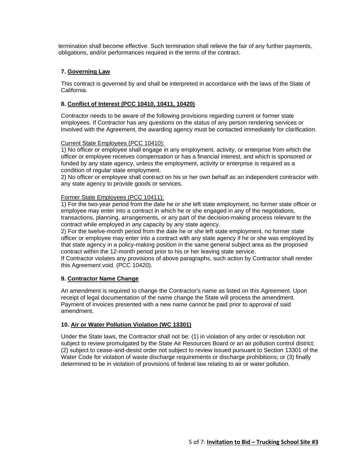termination shall become effective. Such termination shall relieve the fair of any further payments, obligations, and/or performances required in the terms of the contract.

#### **7. Governing Law**

This contract is governed by and shall be interpreted in accordance with the laws of the State of California.

#### **8. Conflict of Interest (PCC 10410, 10411, 10420)**

Contractor needs to be aware of the following provisions regarding current or former state employees. If Contractor has any questions on the status of any person rendering services or involved with the Agreement, the awarding agency must be contacted immediately for clarification.

#### Current State Employees (PCC 10410):

1) No officer or employee shall engage in any employment, activity, or enterprise from which the officer or employee receives compensation or has a financial interest, and which is sponsored or funded by any state agency, unless the employment, activity or enterprise is required as a condition of regular state employment.

2) No officer or employee shall contract on his or her own behalf as an independent contractor with any state agency to provide goods or services.

#### Former State Employees (PCC 10411):

1) For the two-year period from the date he or she left state employment, no former state officer or employee may enter into a contract in which he or she engaged in any of the negotiations, transactions, planning, arrangements, or any part of the decision-making process relevant to the contract while employed in any capacity by any state agency.

2) For the twelve-month period from the date he or she left state employment, no former state officer or employee may enter into a contract with any state agency if he or she was employed by that state agency in a policy-making position in the same general subject area as the proposed contract within the 12-month period prior to his or her leaving state service.

If Contractor violates any provisions of above paragraphs, such action by Contractor shall render this Agreement void. (PCC 10420).

#### **9. Contractor Name Change**

An amendment is required to change the Contractor's name as listed on this Agreement. Upon receipt of legal documentation of the name change the State will process the amendment. Payment of invoices presented with a new name cannot be paid prior to approval of said amendment.

#### **10. Air or Water Pollution Violation (WC 13301)**

Under the State laws, the Contractor shall not be: (1) in violation of any order or resolution not subject to review promulgated by the State Air Resources Board or an air pollution control district; (2) subject to cease-and-desist order not subject to review issued pursuant to Section 13301 of the Water Code for violation of waste discharge requirements or discharge prohibitions; or (3) finally determined to be in violation of provisions of federal law relating to air or water pollution.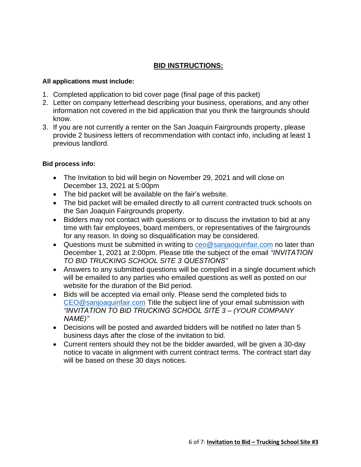## **BID INSTRUCTIONS:**

## **All applications must include:**

- 1. Completed application to bid cover page (final page of this packet)
- 2. Letter on company letterhead describing your business, operations, and any other information not covered in the bid application that you think the fairgrounds should know.
- 3. If you are not currently a renter on the San Joaquin Fairgrounds property, please provide 2 business letters of recommendation with contact info, including at least 1 previous landlord.

## **Bid process info:**

- The Invitation to bid will begin on November 29, 2021 and will close on December 13, 2021 at 5:00pm
- The bid packet will be available on the fair's website.
- The bid packet will be emailed directly to all current contracted truck schools on the San Joaquin Fairgrounds property.
- Bidders may not contact with questions or to discuss the invitation to bid at any time with fair employees, board members, or representatives of the fairgrounds for any reason. In doing so disqualification may be considered.
- Questions must be submitted in writing to [ceo@sanjaoquinfair.com](mailto:ceo@sanjaoquinfair.com) no later than December 1, 2021 at 2:00pm. Please title the subject of the email *"INVITATION TO BID TRUCKING SCHOOL SITE 3 QUESTIONS"*
- Answers to any submitted questions will be compiled in a single document which will be emailed to any parties who emailed questions as well as posted on our website for the duration of the Bid period.
- Bids will be accepted via email only. Please send the completed bids to [CEO@sanjoaquinfair.com](mailto:CEO@sanjoaquinfair.com) Title the subject line of your email submission with *"INVITATION TO BID TRUCKING SCHOOL SITE 3 – (YOUR COMPANY NAME)"*
- Decisions will be posted and awarded bidders will be notified no later than 5 business days after the close of the invitation to bid.
- Current renters should they not be the bidder awarded, will be given a 30-day notice to vacate in alignment with current contract terms. The contract start day will be based on these 30 days notices.